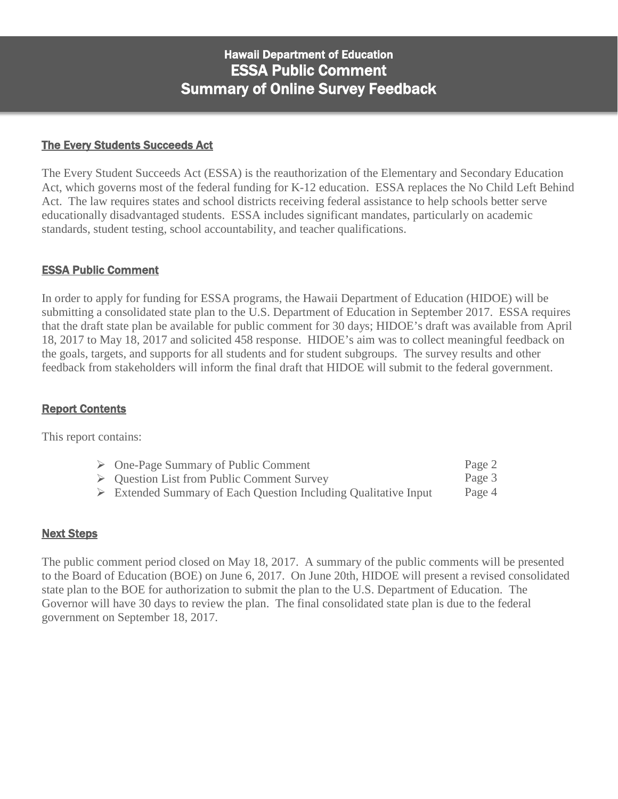#### The Every Students Succeeds Act

The Every Student Succeeds Act (ESSA) is the reauthorization of the Elementary and Secondary Education Act, which governs most of the federal funding for K-12 education. ESSA replaces the No Child Left Behind Act. The law requires states and school districts receiving federal assistance to help schools better serve educationally disadvantaged students. ESSA includes significant mandates, particularly on academic standards, student testing, school accountability, and teacher qualifications.

#### ESSA Public Comment

In order to apply for funding for ESSA programs, the Hawaii Department of Education (HIDOE) will be submitting a consolidated state plan to the U.S. Department of Education in September 2017. ESSA requires that the draft state plan be available for public comment for 30 days; HIDOE's draft was available from April 18, 2017 to May 18, 2017 and solicited 458 response. HIDOE's aim was to collect meaningful feedback on the goals, targets, and supports for all students and for student subgroups. The survey results and other feedback from stakeholders will inform the final draft that HIDOE will submit to the federal government.

### Report Contents

This report contains:

| $\triangleright$ One-Page Summary of Public Comment                            | Page 2 |
|--------------------------------------------------------------------------------|--------|
| $\triangleright$ Question List from Public Comment Survey                      | Page 3 |
| $\triangleright$ Extended Summary of Each Question Including Qualitative Input | Page 4 |

#### Next Steps

The public comment period closed on May 18, 2017. A summary of the public comments will be presented to the Board of Education (BOE) on June 6, 2017. On June 20th, HIDOE will present a revised consolidated state plan to the BOE for authorization to submit the plan to the U.S. Department of Education. The Governor will have 30 days to review the plan. The final consolidated state plan is due to the federal government on September 18, 2017.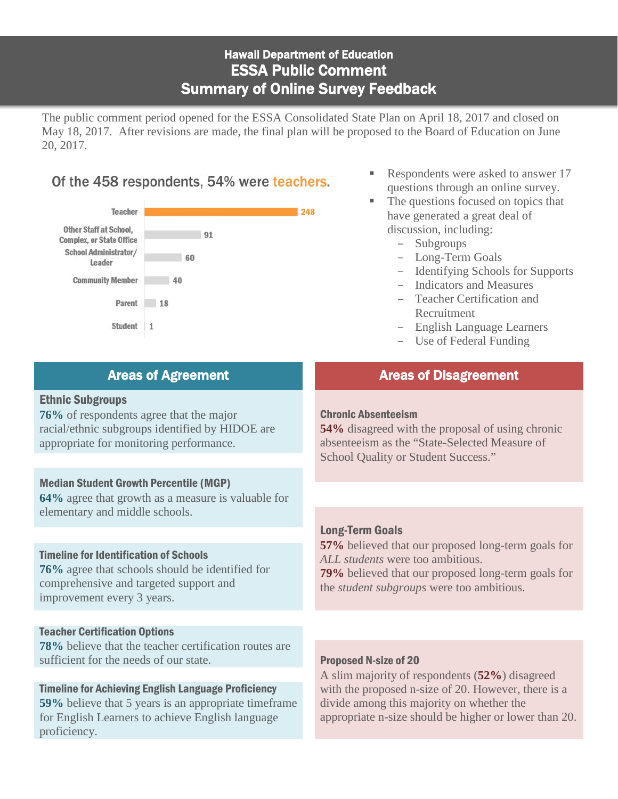The public comment period opened for the ESSA Consolidated State Plan on April 18, 2017 and closed on May 18, 2017. After revisions are made, the final plan will be proposed to the Board of Education on June 20, 2017.

## Of the 458 respondents, 54% were teachers.



- Respondents were asked to answer 17 questions through an online survey.
- The questions focused on topics that have generated a great deal of discussion, including:
	- Subgroups
	- Long-Term Goals
	- Identifying Schools for Supports
	- Indicators and Measures
	- Teacher Certification and Recruitment
	- English Language Learners
	- Use of Federal Funding

### Areas of Agreement Areas of Disagreement

#### Ethnic Subgroups

**76%** of respondents agree that the major racial/ethnic subgroups identified by HIDOE are appropriate for monitoring performance.

### Median Student Growth Percentile (MGP)

**64%** agree that growth as a measure is valuable for elementary and middle schools.

### Timeline for Identification of Schools

**76%** agree that schools should be identified for comprehensive and targeted support and improvement every 3 years.

### Teacher Certification Options

**78%** believe that the teacher certification routes are sufficient for the needs of our state. **Proposed N-size of 20** 

### Timeline for Achieving English Language Proficiency

**59%** believe that 5 years is an appropriate timeframe for English Learners to achieve English language proficiency.

### Chronic Absenteeism

**54%** disagreed with the proposal of using chronic absenteeism as the "State-Selected Measure of School Quality or Student Success."

### Long-Term Goals

**57%** believed that our proposed long-term goals for *ALL students* were too ambitious.

**79%** believed that our proposed long-term goals for the *student subgroups* were too ambitious.

A slim majority of respondents (**52%**) disagreed with the proposed n-size of 20. However, there is a divide among this majority on whether the appropriate n-size should be higher or lower than 20.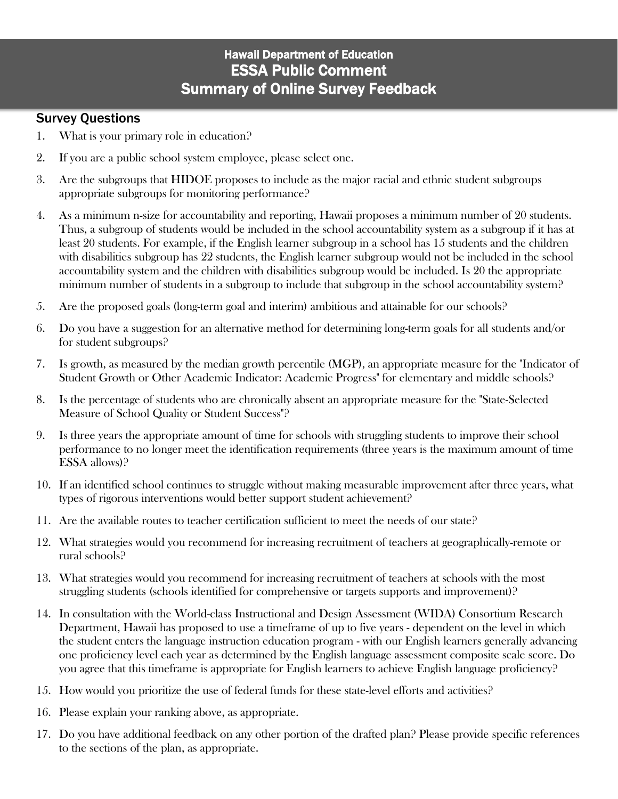### Survey Questions

- 1. What is your primary role in education?
- 2. If you are a public school system employee, please select one.
- 3. Are the subgroups that HIDOE proposes to include as the major racial and ethnic student subgroups appropriate subgroups for monitoring performance?
- 4. As a minimum n-size for accountability and reporting, Hawaii proposes a minimum number of 20 students. Thus, a subgroup of students would be included in the school accountability system as a subgroup if it has at least 20 students. For example, if the English learner subgroup in a school has 15 students and the children with disabilities subgroup has 22 students, the English learner subgroup would not be included in the school accountability system and the children with disabilities subgroup would be included. Is 20 the appropriate minimum number of students in a subgroup to include that subgroup in the school accountability system?
- 5. Are the proposed goals (long-term goal and interim) ambitious and attainable for our schools?
- 6. Do you have a suggestion for an alternative method for determining long-term goals for all students and/or for student subgroups?
- 7. Is growth, as measured by the median growth percentile (MGP), an appropriate measure for the "Indicator of Student Growth or Other Academic Indicator: Academic Progress" for elementary and middle schools?
- 8. Is the percentage of students who are chronically absent an appropriate measure for the "State-Selected Measure of School Quality or Student Success"?
- 9. Is three years the appropriate amount of time for schools with struggling students to improve their school performance to no longer meet the identification requirements (three years is the maximum amount of time ESSA allows)?
- 10. If an identified school continues to struggle without making measurable improvement after three years, what types of rigorous interventions would better support student achievement?
- 11. Are the available routes to teacher certification sufficient to meet the needs of our state?
- 12. What strategies would you recommend for increasing recruitment of teachers at geographically-remote or rural schools?
- 13. What strategies would you recommend for increasing recruitment of teachers at schools with the most struggling students (schools identified for comprehensive or targets supports and improvement)?
- 14. In consultation with the World-class Instructional and Design Assessment (WIDA) Consortium Research Department, Hawaii has proposed to use a timeframe of up to five years - dependent on the level in which the student enters the language instruction education program - with our English learners generally advancing one proficiency level each year as determined by the English language assessment composite scale score. Do you agree that this timeframe is appropriate for English learners to achieve English language proficiency?
- 15. How would you prioritize the use of federal funds for these state-level efforts and activities?
- 16. Please explain your ranking above, as appropriate.
- 17. Do you have additional feedback on any other portion of the drafted plan? Please provide specific references to the sections of the plan, as appropriate.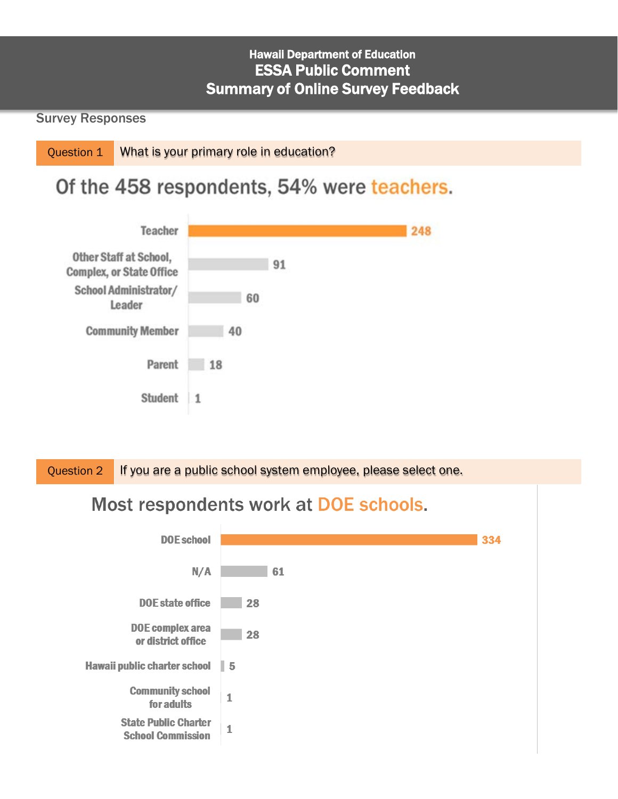### Survey Responses

Question 1 What is your primary role in education?

# Of the 458 respondents, 54% were teachers.



Question 2 If you are a public school system employee, please select one.

# Most respondents work at DOE schools.

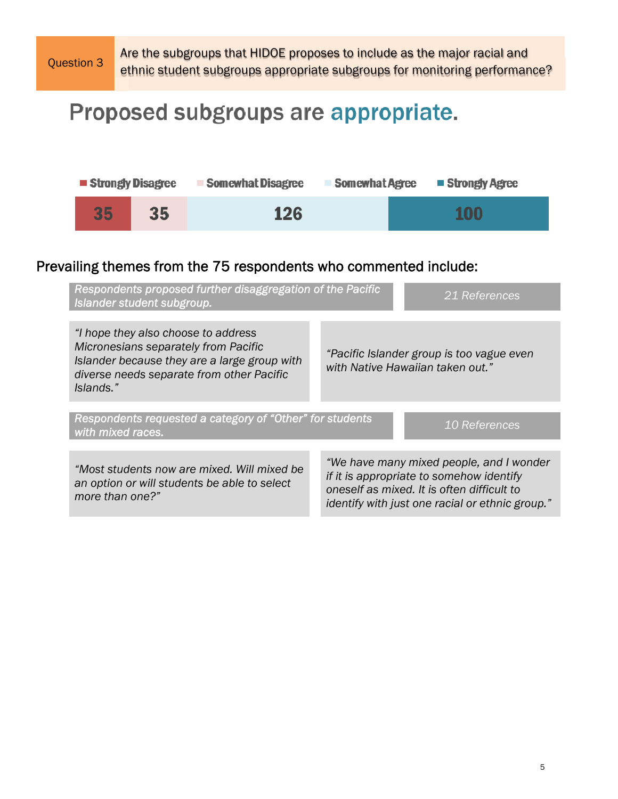

Question 3 Are the subgroups that HIDOE proposes to include as the major racial and<br>Question 3 ethnic student subgroups appropriate subgroups for monitoring performance?

# Proposed subgroups are appropriate.

| <b>Strongly Disagree</b> |    | <b>Somewhat Disagree</b> | <b>Somewhat Agree</b> | ■ Strongly Agree |
|--------------------------|----|--------------------------|-----------------------|------------------|
| 35                       | 35 | <b>126</b>               |                       | <b>100</b>       |

# Prevailing themes from the 75 respondents who commented include:

| Respondents proposed further disaggregation of the Pacific<br>Islander student subgroup.                                                                                              | 21 References                                                                                                                                                                         |
|---------------------------------------------------------------------------------------------------------------------------------------------------------------------------------------|---------------------------------------------------------------------------------------------------------------------------------------------------------------------------------------|
| "I hope they also choose to address<br>Micronesians separately from Pacific<br>Islander because they are a large group with<br>diverse needs separate from other Pacific<br>Islands." | "Pacific Islander group is too vague even<br>with Native Hawaiian taken out."                                                                                                         |
| Respondents requested a category of "Other" for students<br>with mixed races.                                                                                                         | 10 References                                                                                                                                                                         |
| "Most students now are mixed. Will mixed be<br>an option or will students be able to select<br>more than one?"                                                                        | "We have many mixed people, and I wonder<br>if it is appropriate to somehow identify<br>oneself as mixed. It is often difficult to<br>identify with just one racial or ethnic group." |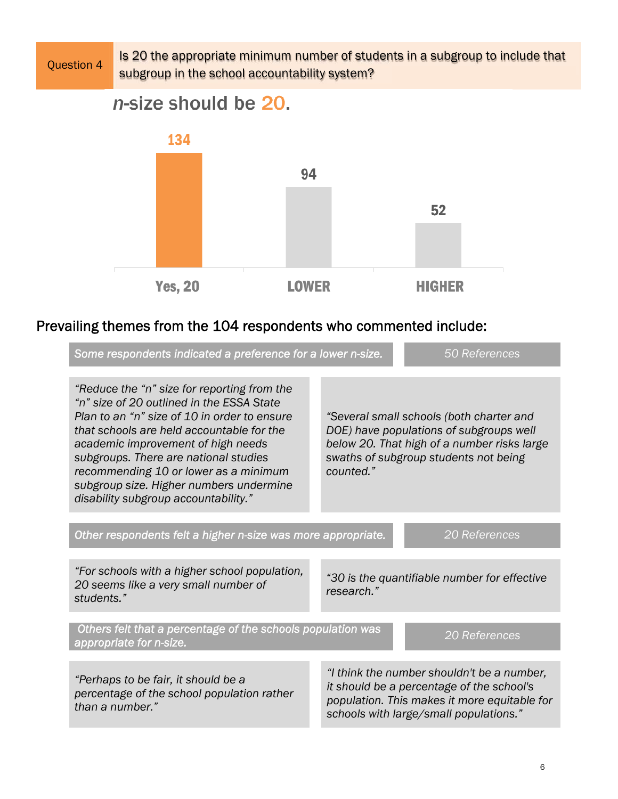Question 4 1s 20 the appropriate minimum number of students in a subgroup to include that subgroup in the school accountability system?

n-size should be 20.



# Prevailing themes from the 104 respondents who commented include:

| Some respondents indicated a preference for a lower n-size.                                                                                                                                                                                                                                                                                                                                      |            | 50 References                                                                                                                                                                     |
|--------------------------------------------------------------------------------------------------------------------------------------------------------------------------------------------------------------------------------------------------------------------------------------------------------------------------------------------------------------------------------------------------|------------|-----------------------------------------------------------------------------------------------------------------------------------------------------------------------------------|
| "Reduce the "n" size for reporting from the<br>"n" size of 20 outlined in the ESSA State<br>Plan to an "n" size of 10 in order to ensure<br>that schools are held accountable for the<br>academic improvement of high needs<br>subgroups. There are national studies<br>recommending 10 or lower as a minimum<br>subgroup size. Higher numbers undermine<br>disability subgroup accountability." | counted."  | "Several small schools (both charter and<br>DOE) have populations of subgroups well<br>below 20. That high of a number risks large<br>swaths of subgroup students not being       |
| Other respondents felt a higher n-size was more appropriate.                                                                                                                                                                                                                                                                                                                                     |            | 20 References                                                                                                                                                                     |
| "For schools with a higher school population,<br>20 seems like a very small number of<br>students."                                                                                                                                                                                                                                                                                              | research." | "30 is the quantifiable number for effective                                                                                                                                      |
| Others felt that a percentage of the schools population was<br>appropriate for n-size.                                                                                                                                                                                                                                                                                                           |            | 20 References                                                                                                                                                                     |
| "Perhaps to be fair, it should be a<br>percentage of the school population rather<br>than a number."                                                                                                                                                                                                                                                                                             |            | "I think the number shouldn't be a number,<br>it should be a percentage of the school's<br>population. This makes it more equitable for<br>schools with large/small populations." |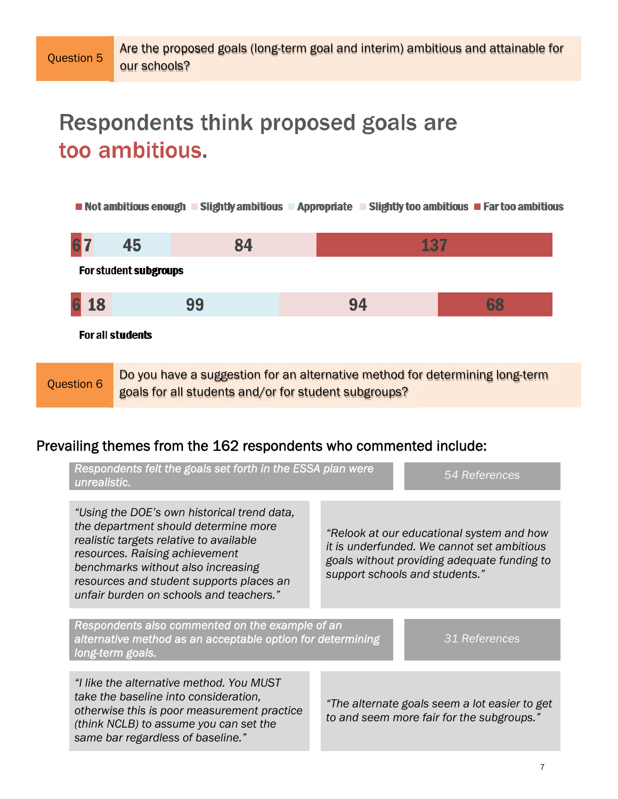# Respondents think proposed goals are too ambitious.

Not ambitious enough  $\blacksquare$  Slightly ambitious  $\blacksquare$  Appropriate  $\blacksquare$  Slightly too ambitious  $\blacksquare$  Far too ambitious



Question 6 Do you have a suggestion for an alternative method for determining long-term goals for all students and/or for student subgroups?

### Prevailing themes from the 162 respondents who commented include:

| Respondents felt the goals set forth in the ESSA plan were<br>unrealistic.                                                                                                                                                                                                                    |  | 54 References                                                                                                                                                            |
|-----------------------------------------------------------------------------------------------------------------------------------------------------------------------------------------------------------------------------------------------------------------------------------------------|--|--------------------------------------------------------------------------------------------------------------------------------------------------------------------------|
| "Using the DOE's own historical trend data,<br>the department should determine more<br>realistic targets relative to available<br>resources. Raising achievement<br>benchmarks without also increasing<br>resources and student supports places an<br>unfair burden on schools and teachers." |  | "Relook at our educational system and how<br>it is underfunded. We cannot set ambitious<br>goals without providing adequate funding to<br>support schools and students." |
| Respondents also commented on the example of an<br>alternative method as an acceptable option for determining<br>long-term goals.                                                                                                                                                             |  | 31 References                                                                                                                                                            |
| "I like the alternative method. You MUST<br>take the baseline into consideration,<br>otherwise this is poor measurement practice<br>(think NCLB) to assume you can set the<br>same bar regardless of baseline."                                                                               |  | "The alternate goals seem a lot easier to get<br>to and seem more fair for the subgroups."                                                                               |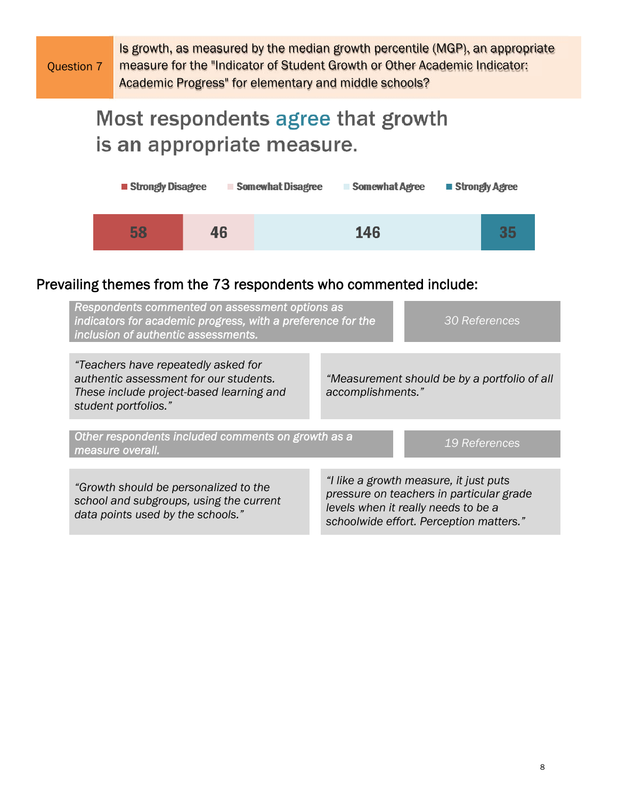Question 7

Is growth, as measured by the median growth percentile (MGP), an appropriate measure for the "Indicator of Student Growth or Other Academic Indicator: Academic Progress" for elementary and middle schools?

# Most respondents agree that growth is an appropriate measure.



## Prevailing themes from the 73 respondents who commented include:

| Respondents commented on assessment options as<br>indicators for academic progress, with a preference for the<br><b>30 References</b><br>inclusion of authentic assessments. |                                                                                                                                                                      |  |
|------------------------------------------------------------------------------------------------------------------------------------------------------------------------------|----------------------------------------------------------------------------------------------------------------------------------------------------------------------|--|
| "Teachers have repeatedly asked for<br>authentic assessment for our students.<br>These include project-based learning and<br>student portfolios."                            | "Measurement should be by a portfolio of all<br>accomplishments."                                                                                                    |  |
| Other respondents included comments on growth as a<br>19 References<br>measure overall.                                                                                      |                                                                                                                                                                      |  |
| "Growth should be personalized to the<br>school and subgroups, using the current<br>data points used by the schools."                                                        | "I like a growth measure, it just puts<br>pressure on teachers in particular grade<br>levels when it really needs to be a<br>schoolwide effort. Perception matters." |  |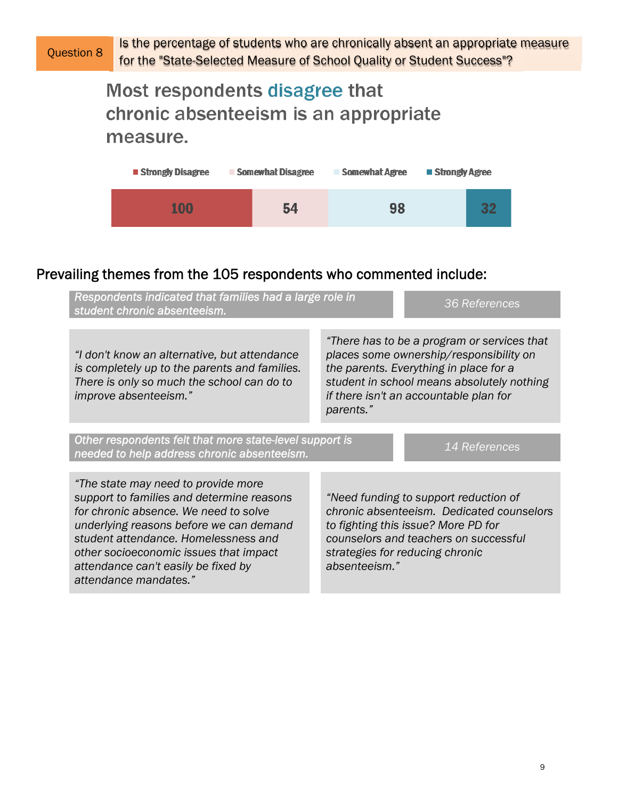# Most respondents disagree that chronic absenteeism is an appropriate measure.



# Prevailing themes from the 105 respondents who commented include:

| Respondents indicated that families had a large role in<br>student chronic absenteeism.                                                                                                                                                                                                                                | 36 References                                                                                                                                                                                                                         |  |  |
|------------------------------------------------------------------------------------------------------------------------------------------------------------------------------------------------------------------------------------------------------------------------------------------------------------------------|---------------------------------------------------------------------------------------------------------------------------------------------------------------------------------------------------------------------------------------|--|--|
| "I don't know an alternative, but attendance<br>is completely up to the parents and families.<br>There is only so much the school can do to<br>improve absenteeism."                                                                                                                                                   | "There has to be a program or services that<br>places some ownership/responsibility on<br>the parents. Everything in place for a<br>student in school means absolutely nothing<br>if there isn't an accountable plan for<br>parents." |  |  |
| Other respondents felt that more state-level support is<br>14 References<br>needed to help address chronic absenteeism.                                                                                                                                                                                                |                                                                                                                                                                                                                                       |  |  |
| "The state may need to provide more<br>support to families and determine reasons<br>for chronic absence. We need to solve<br>underlying reasons before we can demand<br>student attendance. Homelessness and<br>other socioeconomic issues that impact<br>attendance can't easily be fixed by<br>attendance mandates." | "Need funding to support reduction of<br>chronic absenteeism. Dedicated counselors<br>to fighting this issue? More PD for<br>counselors and teachers on successful<br>strategies for reducing chronic<br>absenteeism."                |  |  |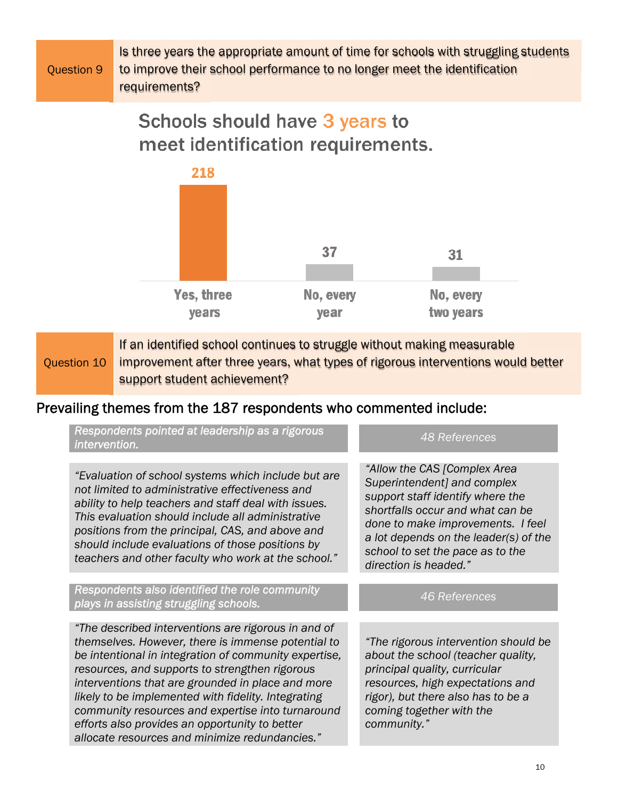|            | Is three years the appropriate amount of time for schools with struggling students |
|------------|------------------------------------------------------------------------------------|
| Ouestion 9 | to improve their school performance to no longer meet the identification           |
|            | requirements?                                                                      |

# Schools should have 3 years to meet identification requirements.



Question 10 If an identified school continues to struggle without making measurable improvement after three years, what types of rigorous interventions would better support student achievement?

## Prevailing themes from the 187 respondents who commented include:

| Respondents pointed at leadership as a rigorous<br>intervention.                                                                                                                                                                                                                                                                                                                                                                                                                          | 48 References                                                                                                                                                                                                                                                                  |
|-------------------------------------------------------------------------------------------------------------------------------------------------------------------------------------------------------------------------------------------------------------------------------------------------------------------------------------------------------------------------------------------------------------------------------------------------------------------------------------------|--------------------------------------------------------------------------------------------------------------------------------------------------------------------------------------------------------------------------------------------------------------------------------|
| "Evaluation of school systems which include but are<br>not limited to administrative effectiveness and<br>ability to help teachers and staff deal with issues.<br>This evaluation should include all administrative<br>positions from the principal, CAS, and above and<br>should include evaluations of those positions by<br>teachers and other faculty who work at the school."                                                                                                        | "Allow the CAS [Complex Area<br>Superintendent] and complex<br>support staff identify where the<br>shortfalls occur and what can be<br>done to make improvements. I feel<br>a lot depends on the leader(s) of the<br>school to set the pace as to the<br>direction is headed." |
| Respondents also identified the role community<br>plays in assisting struggling schools.                                                                                                                                                                                                                                                                                                                                                                                                  | 46 References                                                                                                                                                                                                                                                                  |
| "The described interventions are rigorous in and of<br>themselves. However, there is immense potential to<br>be intentional in integration of community expertise,<br>resources, and supports to strengthen rigorous<br>interventions that are grounded in place and more<br>likely to be implemented with fidelity. Integrating<br>community resources and expertise into turnaround<br>efforts also provides an opportunity to better<br>allocate resources and minimize redundancies." | "The rigorous intervention should be<br>about the school (teacher quality,<br>principal quality, curricular<br>resources, high expectations and<br>rigor), but there also has to be a<br>coming together with the<br>community."                                               |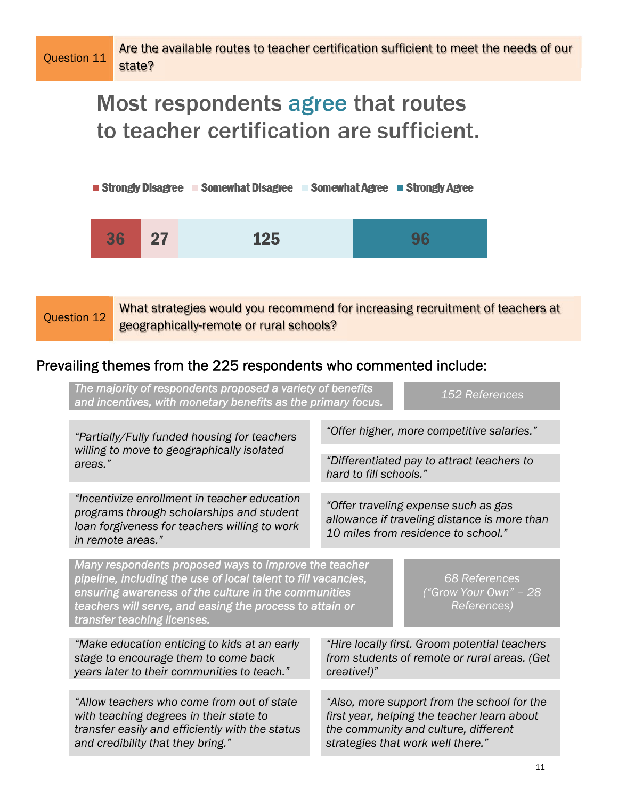Are the available routes to teacher certification sufficient to meet the needs of our state?

# Most respondents agree that routes to teacher certification are sufficient.



Question 12 What strategies would you recommend for increasing recruitment of teachers at geographically-remote or rural schools?

# Prevailing themes from the 225 respondents who commented include:

| The majority of respondents proposed a variety of benefits<br>152 References<br>and incentives, with monetary benefits as the primary focus.                                                                                                                                                                                               |                                                                                                                                                                         |  |  |
|--------------------------------------------------------------------------------------------------------------------------------------------------------------------------------------------------------------------------------------------------------------------------------------------------------------------------------------------|-------------------------------------------------------------------------------------------------------------------------------------------------------------------------|--|--|
| "Partially/Fully funded housing for teachers                                                                                                                                                                                                                                                                                               | "Offer higher, more competitive salaries."                                                                                                                              |  |  |
| willing to move to geographically isolated<br>areas."                                                                                                                                                                                                                                                                                      | "Differentiated pay to attract teachers to<br>hard to fill schools."                                                                                                    |  |  |
| "Incentivize enrollment in teacher education<br>programs through scholarships and student<br>loan forgiveness for teachers willing to work<br>in remote areas."                                                                                                                                                                            | "Offer traveling expense such as gas<br>allowance if traveling distance is more than<br>10 miles from residence to school."                                             |  |  |
| Many respondents proposed ways to improve the teacher<br>pipeline, including the use of local talent to fill vacancies,<br><b>68 References</b><br>ensuring awareness of the culture in the communities<br>("Grow Your Own" - 28<br>teachers will serve, and easing the process to attain or<br>References)<br>transfer teaching licenses. |                                                                                                                                                                         |  |  |
| "Make education enticing to kids at an early<br>stage to encourage them to come back<br>years later to their communities to teach."                                                                                                                                                                                                        | "Hire locally first. Groom potential teachers<br>from students of remote or rural areas. (Get<br>creative!)"                                                            |  |  |
|                                                                                                                                                                                                                                                                                                                                            |                                                                                                                                                                         |  |  |
| "Allow teachers who come from out of state<br>with teaching degrees in their state to<br>transfer easily and efficiently with the status<br>and credibility that they bring."                                                                                                                                                              | "Also, more support from the school for the<br>first year, helping the teacher learn about<br>the community and culture, different<br>strategies that work well there." |  |  |
|                                                                                                                                                                                                                                                                                                                                            |                                                                                                                                                                         |  |  |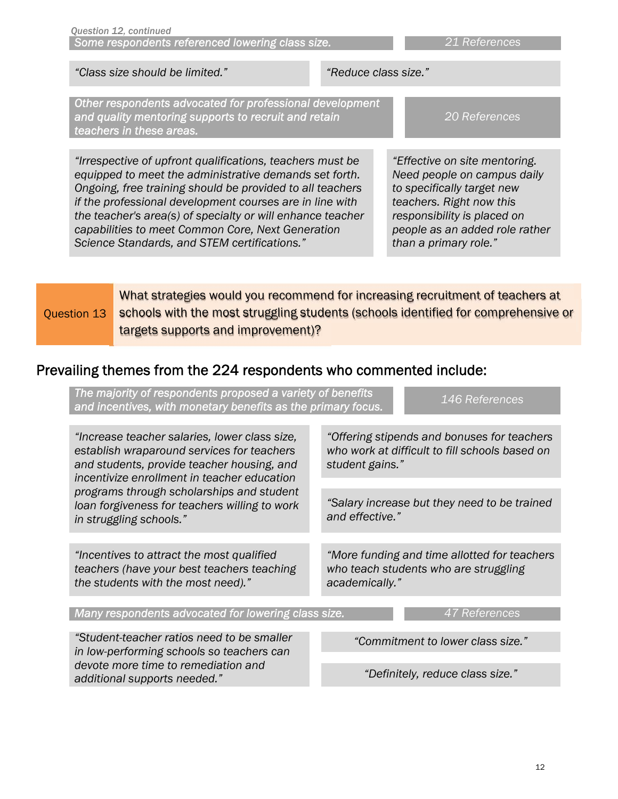|                                                                                                                                                                                                                                                                                                                                                                                                                                                    |                                                                                                                                                                                                                                 | "Class size should be limited."                                                                                                                                                                                                                                                                                                                                                                                 | "Reduce class size."                                                                          |                                                                                                                                                                                                                  |  |  |
|----------------------------------------------------------------------------------------------------------------------------------------------------------------------------------------------------------------------------------------------------------------------------------------------------------------------------------------------------------------------------------------------------------------------------------------------------|---------------------------------------------------------------------------------------------------------------------------------------------------------------------------------------------------------------------------------|-----------------------------------------------------------------------------------------------------------------------------------------------------------------------------------------------------------------------------------------------------------------------------------------------------------------------------------------------------------------------------------------------------------------|-----------------------------------------------------------------------------------------------|------------------------------------------------------------------------------------------------------------------------------------------------------------------------------------------------------------------|--|--|
|                                                                                                                                                                                                                                                                                                                                                                                                                                                    | Other respondents advocated for professional development<br>and quality mentoring supports to recruit and retain<br>teachers in these areas.                                                                                    |                                                                                                                                                                                                                                                                                                                                                                                                                 |                                                                                               | 20 References                                                                                                                                                                                                    |  |  |
|                                                                                                                                                                                                                                                                                                                                                                                                                                                    |                                                                                                                                                                                                                                 | "Irrespective of upfront qualifications, teachers must be<br>equipped to meet the administrative demands set forth.<br>Ongoing, free training should be provided to all teachers<br>if the professional development courses are in line with<br>the teacher's area(s) of specialty or will enhance teacher<br>capabilities to meet Common Core, Next Generation<br>Science Standards, and STEM certifications." |                                                                                               | "Effective on site mentoring.<br>Need people on campus daily<br>to specifically target new<br>teachers. Right now this<br>responsibility is placed on<br>people as an added role rather<br>than a primary role." |  |  |
|                                                                                                                                                                                                                                                                                                                                                                                                                                                    | What strategies would you recommend for increasing recruitment of teachers at<br>schools with the most struggling students (schools identified for comprehensive or<br><b>Question 13</b><br>targets supports and improvement)? |                                                                                                                                                                                                                                                                                                                                                                                                                 |                                                                                               |                                                                                                                                                                                                                  |  |  |
|                                                                                                                                                                                                                                                                                                                                                                                                                                                    | Prevailing themes from the 224 respondents who commented include:                                                                                                                                                               |                                                                                                                                                                                                                                                                                                                                                                                                                 |                                                                                               |                                                                                                                                                                                                                  |  |  |
|                                                                                                                                                                                                                                                                                                                                                                                                                                                    | The majority of respondents proposed a variety of benefits<br>and incentives, with monetary benefits as the primary focus.                                                                                                      |                                                                                                                                                                                                                                                                                                                                                                                                                 |                                                                                               | 146 References                                                                                                                                                                                                   |  |  |
| "Increase teacher salaries, lower class size,<br>establish wraparound services for teachers<br>and students, provide teacher housing, and<br>incentivize enrollment in teacher education<br>programs through scholarships and student<br>loan forgiveness for teachers willing to work<br>in struggling schools."<br>"Incentives to attract the most qualified<br>teachers (have your best teachers teaching<br>the students with the most need)." |                                                                                                                                                                                                                                 | student gains."                                                                                                                                                                                                                                                                                                                                                                                                 | "Offering stipends and bonuses for teachers<br>who work at difficult to fill schools based on |                                                                                                                                                                                                                  |  |  |
|                                                                                                                                                                                                                                                                                                                                                                                                                                                    |                                                                                                                                                                                                                                 | and effective."                                                                                                                                                                                                                                                                                                                                                                                                 | "Salary increase but they need to be trained                                                  |                                                                                                                                                                                                                  |  |  |
|                                                                                                                                                                                                                                                                                                                                                                                                                                                    |                                                                                                                                                                                                                                 | academically."                                                                                                                                                                                                                                                                                                                                                                                                  | "More funding and time allotted for teachers<br>who teach students who are struggling         |                                                                                                                                                                                                                  |  |  |
|                                                                                                                                                                                                                                                                                                                                                                                                                                                    |                                                                                                                                                                                                                                 | Many respondents advocated for lowering class size.                                                                                                                                                                                                                                                                                                                                                             |                                                                                               | 47 References                                                                                                                                                                                                    |  |  |
|                                                                                                                                                                                                                                                                                                                                                                                                                                                    |                                                                                                                                                                                                                                 | "Student-teacher ratios need to be smaller<br>in low-performing schools so teachers can<br>devote more time to remediation and                                                                                                                                                                                                                                                                                  |                                                                                               | "Commitment to lower class size."                                                                                                                                                                                |  |  |

*Some respondents referenced lowering class size. 21 References*

*Question 12, continued*

*additional supports needed."* 

*"Definitely, reduce class size."*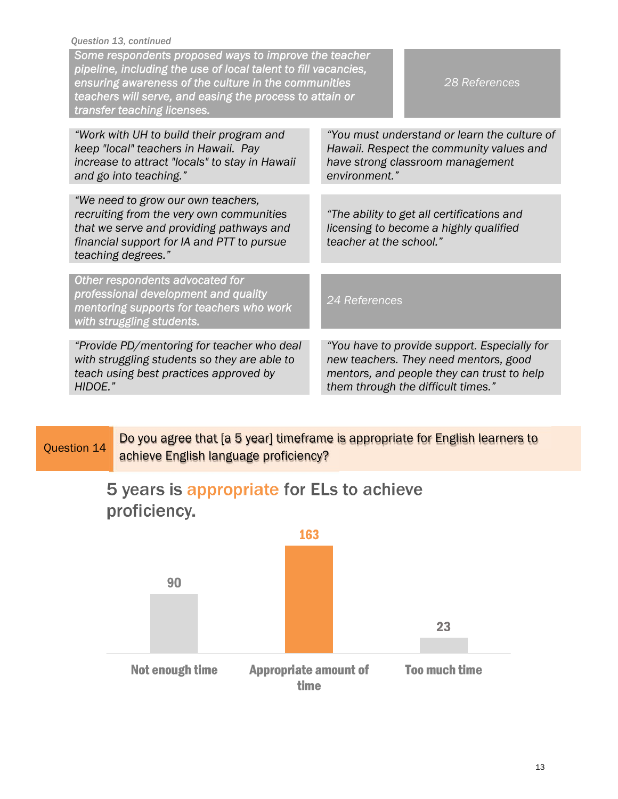| Question 13, continued<br>Some respondents proposed ways to improve the teacher<br>pipeline, including the use of local talent to fill vacancies,<br>ensuring awareness of the culture in the communities<br>28 References<br>teachers will serve, and easing the process to attain or<br>transfer teaching licenses. |                                                                                                                                                                           |  |
|-----------------------------------------------------------------------------------------------------------------------------------------------------------------------------------------------------------------------------------------------------------------------------------------------------------------------|---------------------------------------------------------------------------------------------------------------------------------------------------------------------------|--|
| "Work with UH to build their program and<br>keep "local" teachers in Hawaii. Pay<br>increase to attract "locals" to stay in Hawaii<br>and go into teaching."                                                                                                                                                          | "You must understand or learn the culture of<br>Hawaii. Respect the community values and<br>have strong classroom management<br>environment."                             |  |
| "We need to grow our own teachers,<br>recruiting from the very own communities<br>that we serve and providing pathways and<br>financial support for IA and PTT to pursue<br>teaching degrees."                                                                                                                        | "The ability to get all certifications and<br>licensing to become a highly qualified<br>teacher at the school."                                                           |  |
| Other respondents advocated for<br>professional development and quality<br>mentoring supports for teachers who work<br>with struggling students.                                                                                                                                                                      | 24 References                                                                                                                                                             |  |
| "Provide PD/mentoring for teacher who deal<br>with struggling students so they are able to<br>teach using best practices approved by<br>HIDOE."                                                                                                                                                                       | "You have to provide support. Especially for<br>new teachers. They need mentors, good<br>mentors, and people they can trust to help<br>them through the difficult times." |  |

# Question 14 Do you agree that [a 5 year] timeframe is appropriate for English learners to achieve English language proficiency?

# 5 years is appropriate for ELs to achieve proficiency.

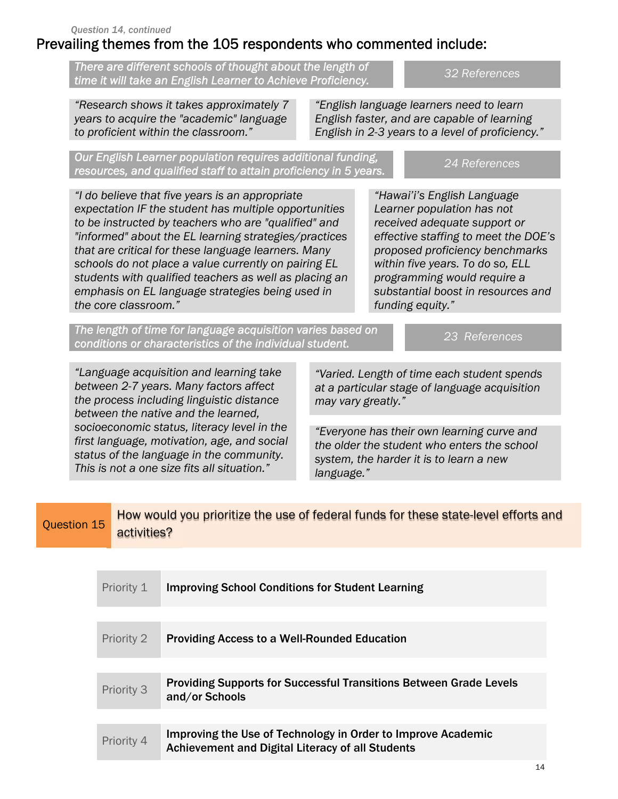# Prevailing themes from the 105 respondents who commented include:

*There are different schools of thought about the length of time it will take an English Learner to Achieve Proficiency. 32 References* 

*"Research shows it takes approximately 7 years to acquire the "academic" language to proficient within the classroom."* 

*"English language learners need to learn English faster, and are capable of learning English in 2-3 years to a level of proficiency."* 

*Our English Learner population requires additional funding, resources, and qualified staff to attain proficiency in 5 years. 24 References* 

*"I do believe that five years is an appropriate expectation IF the student has multiple opportunities to be instructed by teachers who are "qualified" and "informed" about the EL learning strategies/practices that are critical for these language learners. Many schools do not place a value currently on pairing EL students with qualified teachers as well as placing an emphasis on EL language strategies being used in the core classroom."* 

*"Hawai'i's English Language Learner population has not received adequate support or effective staffing to meet the DOE's proposed proficiency benchmarks within five years. To do so, ELL programming would require a substantial boost in resources and funding equity."* 

*The length of time for language acquisition varies based on conditions or characteristics of the individual student. 23 References*

*"Language acquisition and learning take between 2-7 years. Many factors affect the process including linguistic distance between the native and the learned, socioeconomic status, literacy level in the first language, motivation, age, and social status of the language in the community. This is not a one size fits all situation."* 

*"Varied. Length of time each student spends at a particular stage of language acquisition may vary greatly."* 

*"Everyone has their own learning curve and the older the student who enters the school system, the harder it is to learn a new language."* 

| Question 15 | How would you prioritize the use of federal funds for these state-level efforts and |
|-------------|-------------------------------------------------------------------------------------|
|             | activities?                                                                         |

| Priority 1 | <b>Improving School Conditions for Student Learning</b>                                                          |                |  |  |
|------------|------------------------------------------------------------------------------------------------------------------|----------------|--|--|
|            |                                                                                                                  |                |  |  |
| Priority 2 | <b>Providing Access to a Well-Rounded Education</b>                                                              |                |  |  |
|            |                                                                                                                  |                |  |  |
| Priority 3 | <b>Providing Supports for Successful Transitions Between Grade Levels</b><br>and/or Schools                      |                |  |  |
|            |                                                                                                                  |                |  |  |
| Priority 4 | Improving the Use of Technology in Order to Improve Academic<br>Achievement and Digital Literacy of all Students |                |  |  |
|            |                                                                                                                  | $\overline{A}$ |  |  |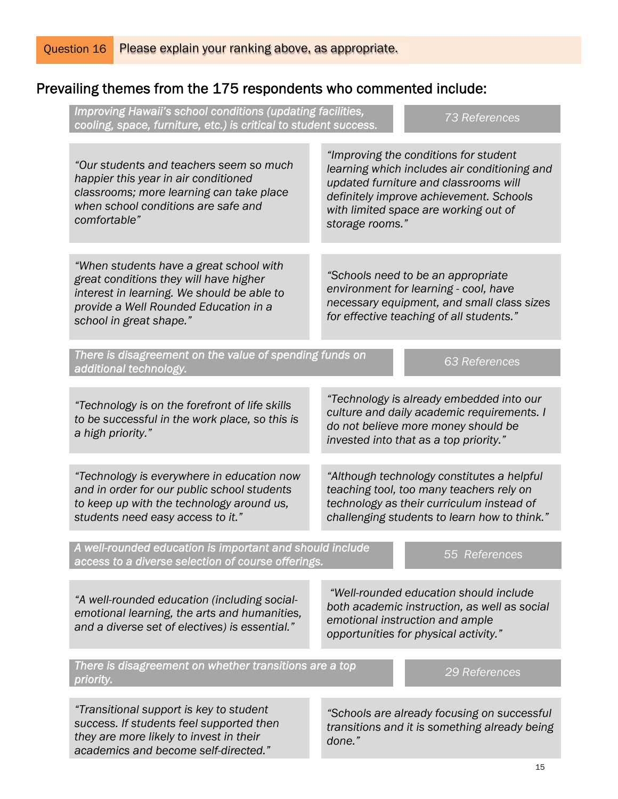### Prevailing themes from the 175 respondents who commented include:

| Improving Hawaii's school conditions (updating facilities,<br>cooling, space, furniture, etc.) is critical to student success.                                                                      |                 | <b>73 References</b>                                                                                                                                                                                               |  |
|-----------------------------------------------------------------------------------------------------------------------------------------------------------------------------------------------------|-----------------|--------------------------------------------------------------------------------------------------------------------------------------------------------------------------------------------------------------------|--|
| "Our students and teachers seem so much<br>happier this year in air conditioned<br>classrooms; more learning can take place<br>when school conditions are safe and<br>comfortable"                  | storage rooms." | "Improving the conditions for student<br>learning which includes air conditioning and<br>updated furniture and classrooms will<br>definitely improve achievement. Schools<br>with limited space are working out of |  |
|                                                                                                                                                                                                     |                 |                                                                                                                                                                                                                    |  |
| "When students have a great school with<br>great conditions they will have higher<br>interest in learning. We should be able to<br>provide a Well Rounded Education in a<br>school in great shape." |                 | "Schools need to be an appropriate<br>environment for learning - cool, have<br>necessary equipment, and small class sizes<br>for effective teaching of all students."                                              |  |
| There is disagreement on the value of spending funds on<br>additional technology.                                                                                                                   |                 | <b>63 References</b>                                                                                                                                                                                               |  |
| "Technology is on the forefront of life skills<br>to be successful in the work place, so this is<br>a high priority."                                                                               |                 | "Technology is already embedded into our<br>culture and daily academic requirements. I<br>do not believe more money should be<br>invested into that as a top priority."                                            |  |
|                                                                                                                                                                                                     |                 |                                                                                                                                                                                                                    |  |
| "Technology is everywhere in education now<br>and in order for our public school students<br>to keep up with the technology around us,<br>students need easy access to it."                         |                 | "Although technology constitutes a helpful<br>teaching tool, too many teachers rely on<br>technology as their curriculum instead of<br>challenging students to learn how to think."                                |  |
| A well-rounded education is important and should include<br>access to a diverse selection of course offerings.                                                                                      |                 | 55 References                                                                                                                                                                                                      |  |
| "A well-rounded education (including social-<br>emotional learning, the arts and humanities,<br>and a diverse set of electives) is essential."                                                      |                 | "Well-rounded education should include<br>both academic instruction, as well as social<br>emotional instruction and ample<br>opportunities for physical activity."                                                 |  |
| There is disagreement on whether transitions are a top<br>priority.                                                                                                                                 |                 | 29 References                                                                                                                                                                                                      |  |
|                                                                                                                                                                                                     |                 |                                                                                                                                                                                                                    |  |
| "Transitional support is key to student<br>success. If students feel supported then<br>they are more likely to invest in their<br>academics and become self-directed."                              | done."          | "Schools are already focusing on successful<br>transitions and it is something already being                                                                                                                       |  |